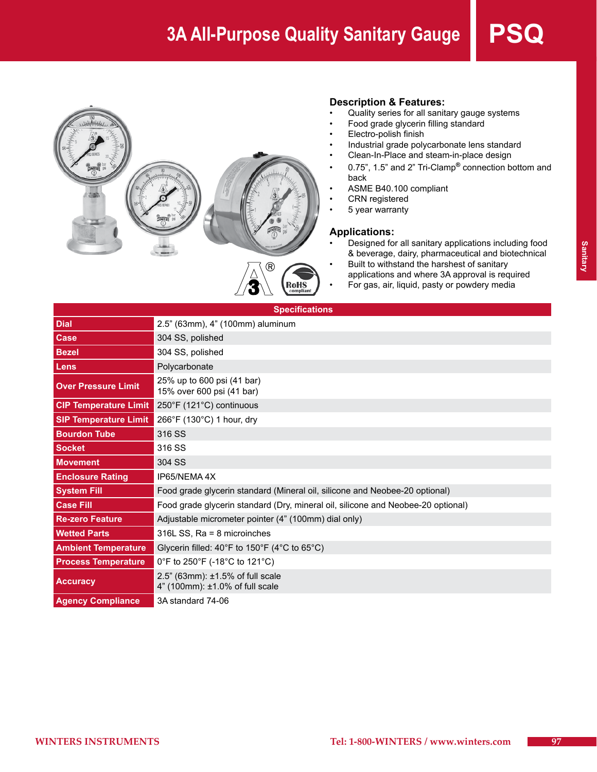

#### **Description & Features:**

- Quality series for all sanitary gauge systems
- Food grade glycerin filling standard
- Electro-polish finish
- Industrial grade polycarbonate lens standard
- Clean-In-Place and steam-in-place design
- • 0.75", 1.5" and 2" Tri-Clamp**®** connection bottom and back
- ASME B40.100 compliant
- CRN registered
- 5 year warranty

#### **Applications:**

- Designed for all sanitary applications including food & beverage, dairy, pharmaceutical and biotechnical
- Built to withstand the harshest of sanitary applications and where 3A approval is required
	- For gas, air, liquid, pasty or powdery media

| <b>Specifications</b>        |                                                                                  |  |  |  |  |  |  |  |
|------------------------------|----------------------------------------------------------------------------------|--|--|--|--|--|--|--|
| <b>Dial</b>                  | 2.5" (63mm), 4" (100mm) aluminum                                                 |  |  |  |  |  |  |  |
| <b>Case</b>                  | 304 SS, polished                                                                 |  |  |  |  |  |  |  |
| <b>Bezel</b>                 | 304 SS, polished                                                                 |  |  |  |  |  |  |  |
| Lens                         | Polycarbonate                                                                    |  |  |  |  |  |  |  |
| <b>Over Pressure Limit</b>   | 25% up to 600 psi (41 bar)<br>15% over 600 psi (41 bar)                          |  |  |  |  |  |  |  |
| <b>CIP Temperature Limit</b> | 250°F (121°C) continuous                                                         |  |  |  |  |  |  |  |
| <b>SIP Temperature Limit</b> | 266°F (130°C) 1 hour, dry                                                        |  |  |  |  |  |  |  |
| <b>Bourdon Tube</b>          | 316 SS                                                                           |  |  |  |  |  |  |  |
| <b>Socket</b>                | 316 SS                                                                           |  |  |  |  |  |  |  |
| <b>Movement</b>              | 304 SS                                                                           |  |  |  |  |  |  |  |
| <b>Enclosure Rating</b>      | IP65/NEMA4X                                                                      |  |  |  |  |  |  |  |
| <b>System Fill</b>           | Food grade glycerin standard (Mineral oil, silicone and Neobee-20 optional)      |  |  |  |  |  |  |  |
| <b>Case Fill</b>             | Food grade glycerin standard (Dry, mineral oil, silicone and Neobee-20 optional) |  |  |  |  |  |  |  |
| <b>Re-zero Feature</b>       | Adjustable micrometer pointer (4" (100mm) dial only)                             |  |  |  |  |  |  |  |
| <b>Wetted Parts</b>          | 316L SS, Ra = 8 microinches                                                      |  |  |  |  |  |  |  |
| <b>Ambient Temperature</b>   | Glycerin filled: 40°F to 150°F (4°C to 65°C)                                     |  |  |  |  |  |  |  |
| <b>Process Temperature</b>   | 0°F to 250°F (-18°C to 121°C)                                                    |  |  |  |  |  |  |  |
| <b>Accuracy</b>              | 2.5" (63mm): ±1.5% of full scale<br>4" (100mm): ±1.0% of full scale              |  |  |  |  |  |  |  |
| <b>Agency Compliance</b>     | 3A standard 74-06                                                                |  |  |  |  |  |  |  |

RoHS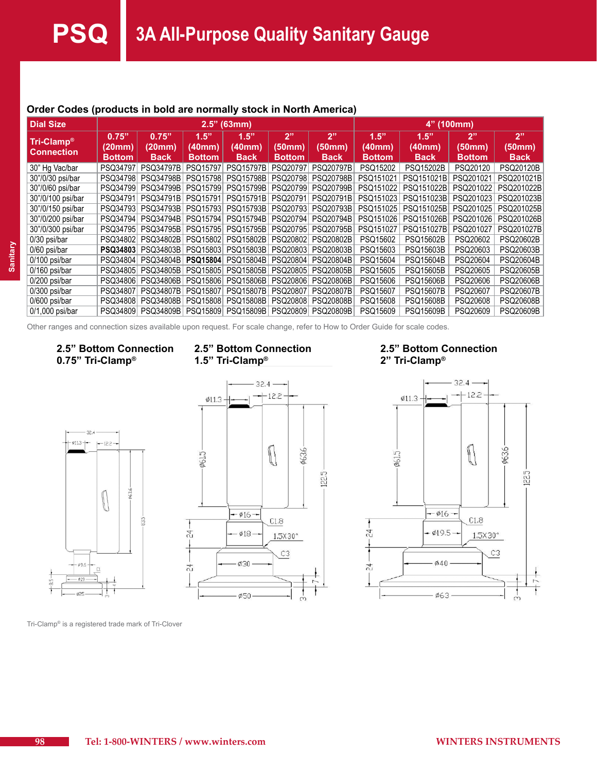| <b>Dial Size</b>                | $2.5"$ (63mm) |                  |               |                  |               |                  | 4" (100mm)    |                  |               |                  |
|---------------------------------|---------------|------------------|---------------|------------------|---------------|------------------|---------------|------------------|---------------|------------------|
| Tri-Clamp®<br><b>Connection</b> | 0.75"         | 0.75"            | 1.5"          | 1.5"             | 2"            | 2"               | 1.5"          | 1.5"             | 2"            | 2"               |
|                                 | (20mm)        | (20mm)           | (40mm)        | (40mm)           | (50mm)        | (50mm)           | (40mm)        | (40mm)           | (50mm)        | (50mm)           |
|                                 | <b>Bottom</b> | <b>Back</b>      | <b>Bottom</b> | <b>Back</b>      | <b>Bottom</b> | <b>Back</b>      | <b>Bottom</b> | <b>Back</b>      | <b>Bottom</b> | <b>Back</b>      |
| 30" Hg Vac/bar                  | PSQ34797      | <b>PSQ34797B</b> | PSQ15797      | <b>PSQ15797B</b> | PSQ20797      | <b>PSQ20797B</b> | PSQ15202      | <b>PSQ15202B</b> | PSQ20120      | <b>PSQ20120B</b> |
| 30"/0/30 psi/bar                | PSQ34798      | <b>PSQ34798B</b> | PSQ15798      | <b>PSQ15798B</b> | PSQ20798      | <b>PSQ20798B</b> | PSQ151021     | PSQ151021B       | PSQ201021     | PSQ201021B       |
| 30"/0/60 psi/bar                | PSQ34799      | <b>PSQ34799B</b> | PSQ15799      | <b>PSQ15799B</b> | PSQ20799      | <b>PSQ20799B</b> | PSQ151022     | PSQ151022B       | PSQ201022     | PSQ201022B       |
| 30"/0/100 psi/bar               | PSQ34791      | <b>PSQ34791B</b> | PSQ15791      | <b>PSQ15791B</b> | PSQ20791      | <b>PSQ20791B</b> | PSQ151023     | PSQ151023B       | PSQ201023     | PSQ201023B       |
| 30"/0/150 psi/bar               | PSQ34793      | <b>PSQ34793B</b> | PSQ15793      | <b>PSQ15793B</b> | PSQ20793      | <b>PSQ20793B</b> | PSQ151025     | PSQ151025B       | PSQ201025     | PSQ201025B       |
| 30"/0/200 psi/bar               | PSQ34794      | <b>PSQ34794B</b> | PSQ15794      | <b>PSQ15794B</b> | PSQ20794      | <b>PSQ20794B</b> | PSQ151026     | PSQ151026B       | PSQ201026     | PSQ201026B       |
| 30"/0/300 psi/bar               | PSQ34795      | <b>PSQ34795B</b> | PSQ15795      | <b>PSQ15795B</b> | PSQ20795      | <b>PSQ20795B</b> | PSQ151027     | PSQ151027B       | PSQ201027     | PSQ201027B       |
| 0/30 psi/bar                    | PSQ34802      | PSQ34802B        | PSQ15802      | <b>PSQ15802B</b> | PSQ20802      | PSQ20802B        | PSQ15602      | PSQ15602B        | PSQ20602      | PSQ20602B        |
| 0/60 psi/bar                    | PSQ34803      | PSQ34803B        | PSQ15803      | <b>PSQ15803B</b> | PSQ20803      | <b>PSQ20803B</b> | PSQ15603      | <b>PSQ15603B</b> | PSQ20603      | PSQ20603B        |
| $0/100$ psi/bar                 | PSQ34804      | PSQ34804B        | PSQ15804      | <b>PSQ15804B</b> | PSQ20804      | <b>PSQ20804B</b> | PSQ15604      | <b>PSQ15604B</b> | PSQ20604      | PSQ20604B        |
| $0/160$ psi/bar                 | PSQ34805      | PSQ34805B        | PSQ15805      | <b>PSQ15805B</b> | PSQ20805      | <b>PSQ20805B</b> | PSQ15605      | PSQ15605B        | PSQ20605      | <b>PSQ20605B</b> |
| $0/200$ psi/bar                 | PSQ34806      | PSQ34806B        | PSQ15806      | <b>PSQ15806B</b> | PSQ20806      | <b>PSQ20806B</b> | PSQ15606      | <b>PSQ15606B</b> | PSQ20606      | <b>PSQ20606B</b> |
| 0/300 psi/bar                   | PSQ34807      | <b>PSQ34807B</b> | PSQ15807      | <b>PSQ15807B</b> | PSQ20807      | <b>PSQ20807B</b> | PSQ15607      | <b>PSQ15607B</b> | PSQ20607      | <b>PSQ20607B</b> |
| $0/600$ psi/bar                 | PSQ34808      | PSQ34808B        | PSQ15808      | <b>PSQ15808B</b> | PSQ20808      | <b>PSQ20808B</b> | PSQ15608      | PSQ15608B        | PSQ20608      | <b>PSQ20608B</b> |
| $0/1,000$ psi/bar               | PSQ34809      | PSQ34809B        | PSQ15809      | <b>PSQ15809B</b> | PSQ20809      | <b>PSQ20809B</b> | PSQ15609      | <b>PSQ15609B</b> | PSQ20609      | <b>PSQ20609B</b> |

#### **Order Codes (products in bold are normally stock in North America)**

Other ranges and connection sizes available upon request. For scale change, refer to How to Order Guide for scale codes.

#### **2.5" Bottom Connection 0.75" Tri-Clamp®**



#### **2.5" Bottom Connection 1.5" Tri-Clamp®**



#### **2.5" Bottom Connection 2" Tri-Clamp®**



Tri-Clamp® is a registered trade mark of Tri-Clover

**Sanitary**